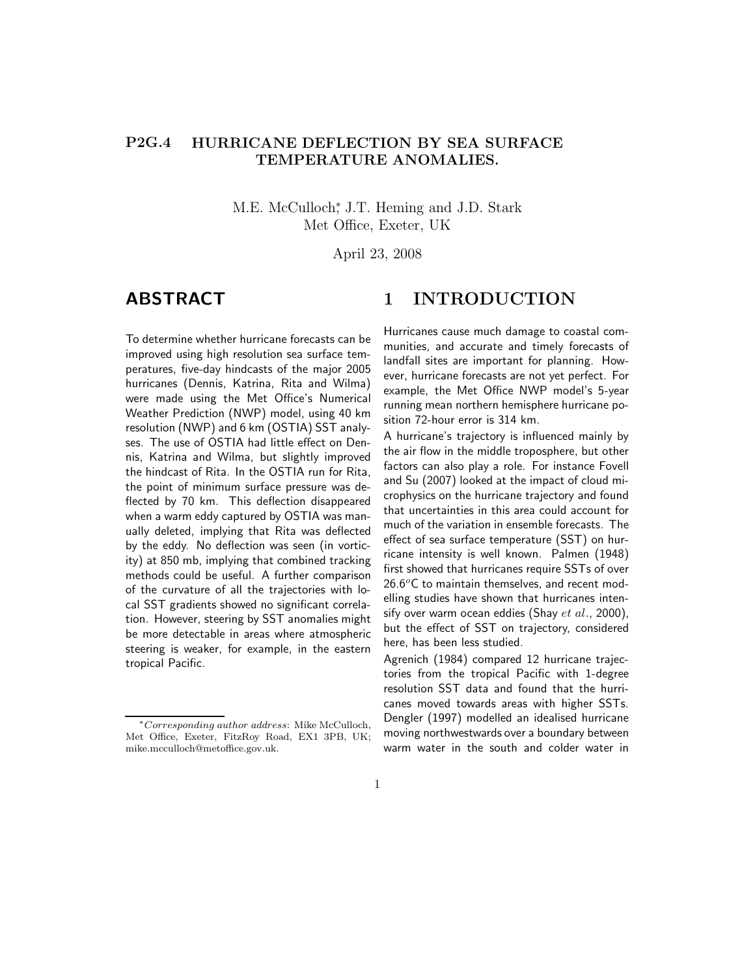#### P2G.4 HURRICANE DEFLECTION BY SEA SURFACE TEMPERATURE ANOMALIES.

M.E. McCulloch,<sup>\*</sup> J.T. Heming and J.D. Stark Met Office, Exeter, UK

April 23, 2008

# ABSTRACT

To determine whether hurricane forecasts can be improved using high resolution sea surface temperatures, five-day hindcasts of the major 2005 hurricanes (Dennis, Katrina, Rita and Wilma) were made using the Met Office's Numerical Weather Prediction (NWP) model, using 40 km resolution (NWP) and 6 km (OSTIA) SST analyses. The use of OSTIA had little effect on Dennis, Katrina and Wilma, but slightly improved the hindcast of Rita. In the OSTIA run for Rita, the point of minimum surface pressure was deflected by 70 km. This deflection disappeared when a warm eddy captured by OSTIA was manually deleted, implying that Rita was deflected by the eddy. No deflection was seen (in vorticity) at 850 mb, implying that combined tracking methods could be useful. A further comparison of the curvature of all the trajectories with local SST gradients showed no significant correlation. However, steering by SST anomalies might be more detectable in areas where atmospheric steering is weaker, for example, in the eastern tropical Pacific.

## 1 INTRODUCTION

Hurricanes cause much damage to coastal communities, and accurate and timely forecasts of landfall sites are important for planning. However, hurricane forecasts are not yet perfect. For example, the Met Office NWP model's 5-year running mean northern hemisphere hurricane position 72-hour error is 314 km.

A hurricane's trajectory is influenced mainly by the air flow in the middle troposphere, but other factors can also play a role. For instance Fovell and Su (2007) looked at the impact of cloud microphysics on the hurricane trajectory and found that uncertainties in this area could account for much of the variation in ensemble forecasts. The effect of sea surface temperature (SST) on hurricane intensity is well known. Palmen (1948) first showed that hurricanes require SSTs of over  $26.6^{\circ}$ C to maintain themselves, and recent modelling studies have shown that hurricanes intensify over warm ocean eddies (Shay  $et$   $al$ ., 2000), but the effect of SST on trajectory, considered here, has been less studied.

Agrenich (1984) compared 12 hurricane trajectories from the tropical Pacific with 1-degree resolution SST data and found that the hurricanes moved towards areas with higher SSTs. Dengler (1997) modelled an idealised hurricane moving northwestwards over a boundary between warm water in the south and colder water in

1

<sup>∗</sup>Corresponding author address: Mike McCulloch, Met Office, Exeter, FitzRoy Road, EX1 3PB, UK; mike.mcculloch@metoffice.gov.uk.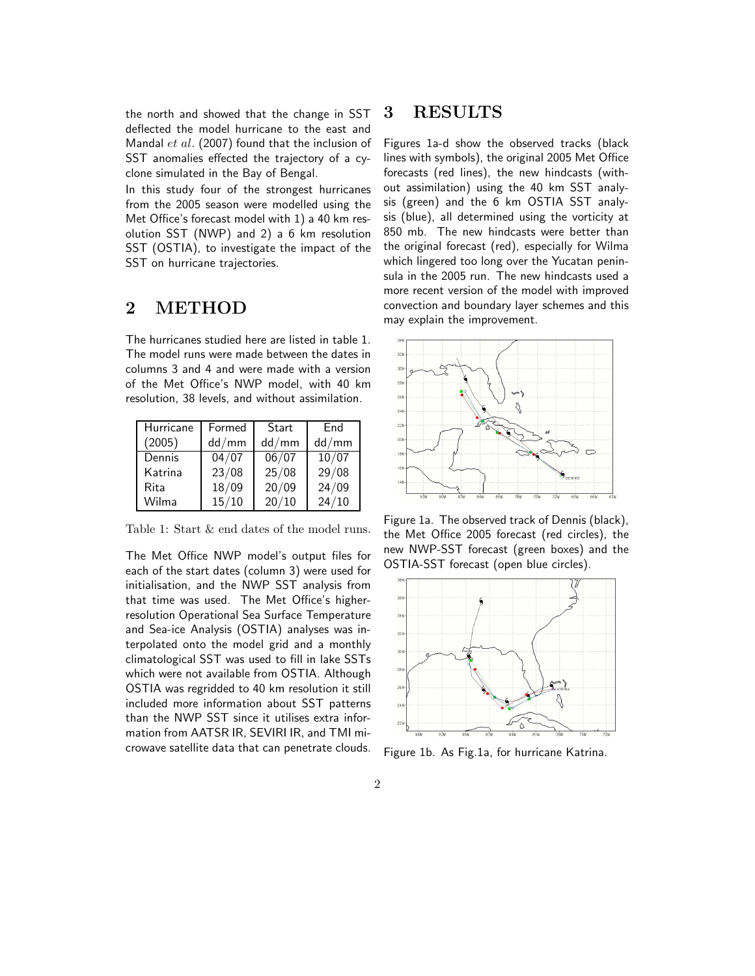the north and showed that the change in SST deflected the model hurricane to the east and Mandal  $et$   $al.$  (2007) found that the inclusion of SST anomalies effected the trajectory of a cyclone simulated in the Bay of Bengal.

In this study four of the strongest hurricanes from the 2005 season were modelled using the Met Office's forecast model with 1) a 40 km resolution SST (NWP) and 2) a 6 km resolution SST (OSTIA), to investigate the impact of the SST on hurricane trajectories.

## 2 METHOD

The hurricanes studied here are listed in table 1. The model runs were made between the dates in columns 3 and 4 and were made with a version of the Met Office's NWP model, with 40 km resolution, 38 levels, and without assimilation.

| Hurricane | Formed         | Start | End   |
|-----------|----------------|-------|-------|
| (2005)    | dd/mm          | dd/mm | dd/mm |
| Dennis    | $\sqrt{04/07}$ | 06/07 | 10/07 |
| Katrina   | 23/08          | 25/08 | 29/08 |
| Rita      | 18/09          | 20/09 | 24/09 |
| Wilma     | 15/10          | 20/10 | 24/10 |

Table 1: Start & end dates of the model runs.

The Met Office NWP model's output files for each of the start dates (column 3) were used for initialisation, and the NWP SST analysis from that time was used. The Met Office's higherresolution Operational Sea Surface Temperature and Sea-ice Analysis (OSTIA) analyses was interpolated onto the model grid and a monthly climatological SST was used to fill in lake SSTs which were not available from OSTIA. Although OSTIA was regridded to 40 km resolution it still included more information about SST patterns than the NWP SST since it utilises extra information from AATSR IR, SEVIRI IR, and TMI microwave satellite data that can penetrate clouds.

### 3 RESULTS

Figures 1a-d show the observed tracks (black lines with symbols), the original 2005 Met Office forecasts (red lines), the new hindcasts (without assimilation) using the 40 km SST analysis (green) and the 6 km OSTIA SST analysis (blue), all determined using the vorticity at 850 mb. The new hindcasts were better than the original forecast (red), especially for Wilma which lingered too long over the Yucatan peninsula in the 2005 run. The new hindcasts used a more recent version of the model with improved convection and boundary layer schemes and this may explain the improvement.



Figure 1a. The observed track of Dennis (black), the Met Office 2005 forecast (red circles), the new NWP-SST forecast (green boxes) and the OSTIA-SST forecast (open blue circles).



Figure 1b. As Fig.1a, for hurricane Katrina.

#### 2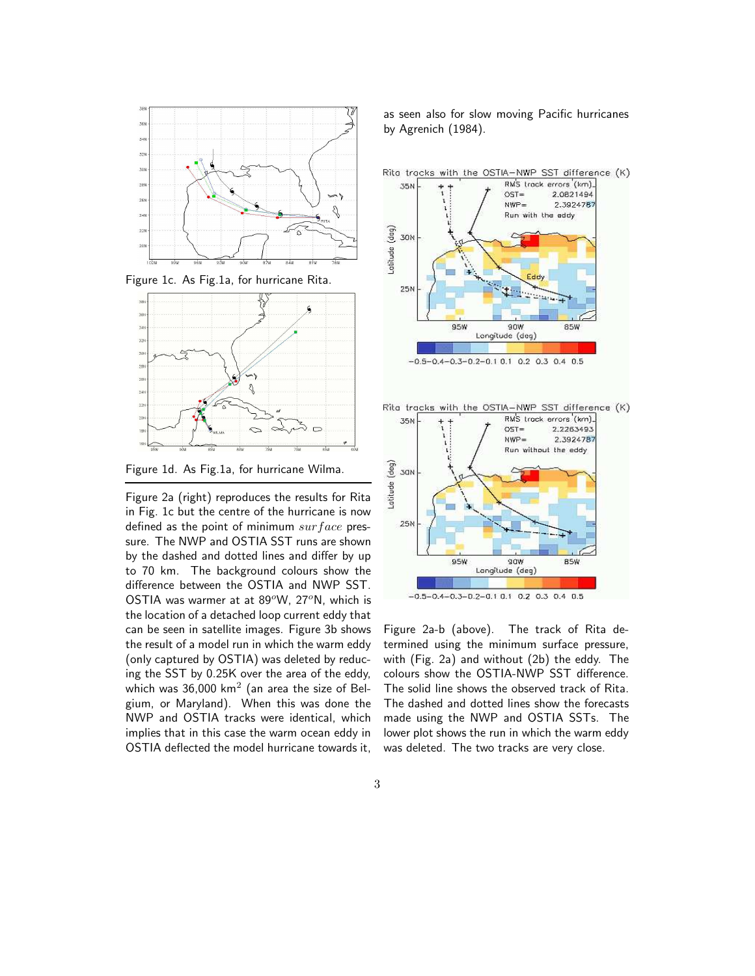

Figure 1c. As Fig.1a, for hurricane Rita.



Figure 1d. As Fig.1a, for hurricane Wilma.

Figure 2a (right) reproduces the results for Rita in Fig. 1c but the centre of the hurricane is now defined as the point of minimum  $surface$  pressure. The NWP and OSTIA SST runs are shown by the dashed and dotted lines and differ by up to 70 km. The background colours show the difference between the OSTIA and NWP SST. OSTIA was warmer at at  $89^{\circ}$ W,  $27^{\circ}$ N, which is the location of a detached loop current eddy that can be seen in satellite images. Figure 3b shows the result of a model run in which the warm eddy (only captured by OSTIA) was deleted by reducing the SST by 0.25K over the area of the eddy, which was  $36,000$  km<sup>2</sup> (an area the size of Belgium, or Maryland). When this was done the NWP and OSTIA tracks were identical, which implies that in this case the warm ocean eddy in OSTIA deflected the model hurricane towards it, as seen also for slow moving Pacific hurricanes by Agrenich (1984).



Figure 2a-b (above). The track of Rita determined using the minimum surface pressure, with (Fig. 2a) and without (2b) the eddy. The colours show the OSTIA-NWP SST difference. The solid line shows the observed track of Rita. The dashed and dotted lines show the forecasts made using the NWP and OSTIA SSTs. The lower plot shows the run in which the warm eddy was deleted. The two tracks are very close.

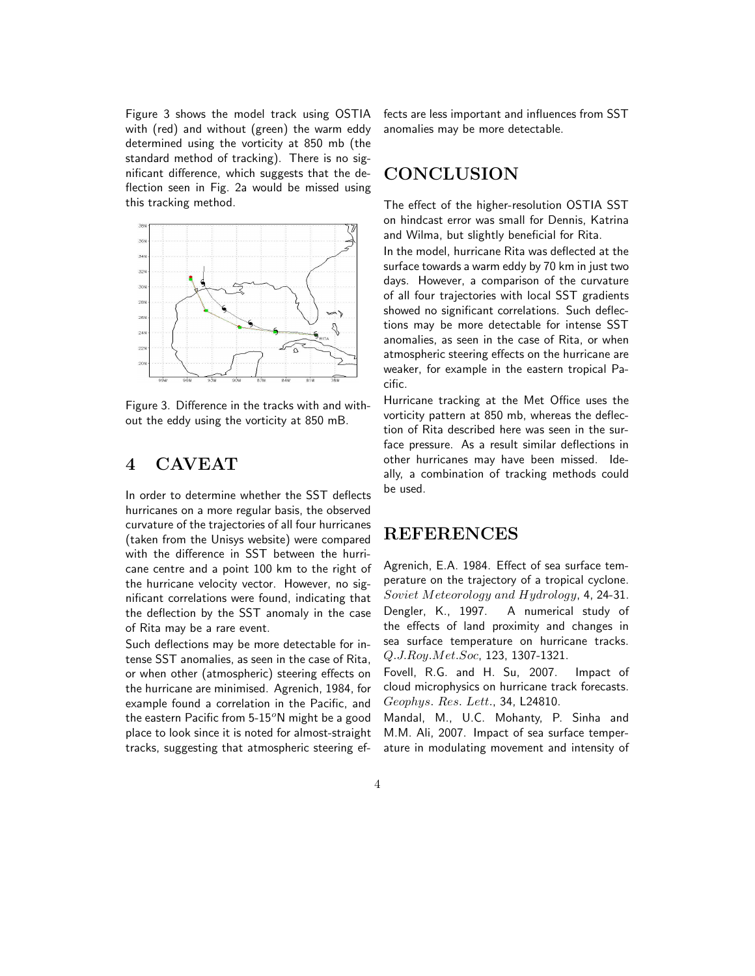Figure 3 shows the model track using OSTIA with (red) and without (green) the warm eddy determined using the vorticity at 850 mb (the standard method of tracking). There is no significant difference, which suggests that the deflection seen in Fig. 2a would be missed using this tracking method.



Figure 3. Difference in the tracks with and without the eddy using the vorticity at 850 mB.

# 4 CAVEAT

In order to determine whether the SST deflects hurricanes on a more regular basis, the observed curvature of the trajectories of all four hurricanes (taken from the Unisys website) were compared with the difference in SST between the hurricane centre and a point 100 km to the right of the hurricane velocity vector. However, no significant correlations were found, indicating that the deflection by the SST anomaly in the case of Rita may be a rare event.

Such deflections may be more detectable for intense SST anomalies, as seen in the case of Rita, or when other (atmospheric) steering effects on the hurricane are minimised. Agrenich, 1984, for example found a correlation in the Pacific, and the eastern Pacific from  $5-15^{\circ}$ N might be a good place to look since it is noted for almost-straight tracks, suggesting that atmospheric steering ef-

fects are less important and influences from SST anomalies may be more detectable.

## **CONCLUSION**

The effect of the higher-resolution OSTIA SST on hindcast error was small for Dennis, Katrina and Wilma, but slightly beneficial for Rita.

In the model, hurricane Rita was deflected at the surface towards a warm eddy by 70 km in just two days. However, a comparison of the curvature of all four trajectories with local SST gradients showed no significant correlations. Such deflections may be more detectable for intense SST anomalies, as seen in the case of Rita, or when atmospheric steering effects on the hurricane are weaker, for example in the eastern tropical Pacific.

Hurricane tracking at the Met Office uses the vorticity pattern at 850 mb, whereas the deflection of Rita described here was seen in the surface pressure. As a result similar deflections in other hurricanes may have been missed. Ideally, a combination of tracking methods could be used.

## REFERENCES

Agrenich, E.A. 1984. Effect of sea surface temperature on the trajectory of a tropical cyclone. Soviet Meteorology and Hydrology, 4, 24-31. Dengler, K., 1997. A numerical study of the effects of land proximity and changes in sea surface temperature on hurricane tracks. Q.J.Roy.Met.Soc, 123, 1307-1321.

Fovell, R.G. and H. Su, 2007. Impact of cloud microphysics on hurricane track forecasts. Geophys. Res. Lett., 34, L24810.

Mandal, M., U.C. Mohanty, P. Sinha and M.M. Ali, 2007. Impact of sea surface temperature in modulating movement and intensity of